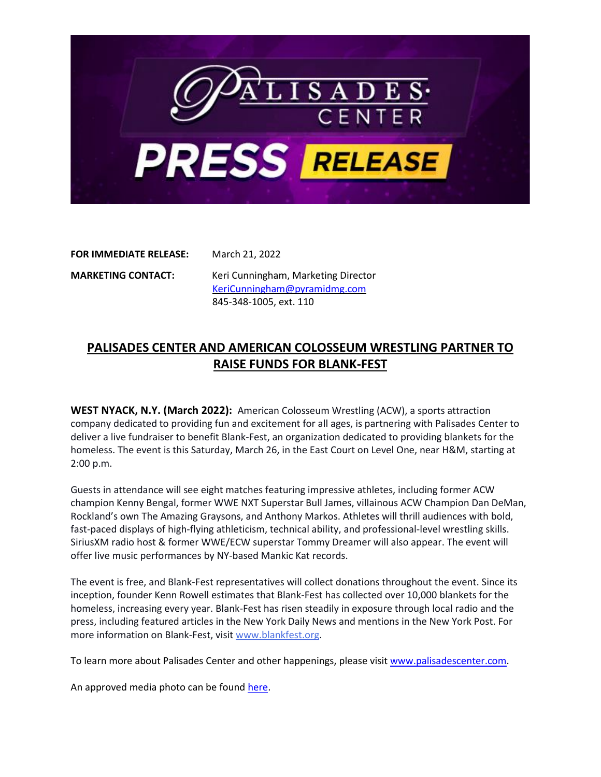

**FOR IMMEDIATE RELEASE:** March 21, 2022

**MARKETING CONTACT:** Keri Cunningham, Marketing Director [KeriCunningham@pyramidmg.com](mailto:KeriCunningham@pyramidmg.com) 845-348-1005, ext. 110

## **PALISADES CENTER AND AMERICAN COLOSSEUM WRESTLING PARTNER TO RAISE FUNDS FOR BLANK-FEST**

**WEST NYACK, N.Y. (March 2022):** American Colosseum Wrestling (ACW), a sports attraction company dedicated to providing fun and excitement for all ages, is partnering with Palisades Center to deliver a live fundraiser to benefit Blank-Fest, an organization dedicated to providing blankets for the homeless. The event is this Saturday, March 26, in the East Court on Level One, near H&M, starting at 2:00 p.m.

Guests in attendance will see eight matches featuring impressive athletes, including former ACW champion Kenny Bengal, former WWE NXT Superstar Bull James, villainous ACW Champion Dan DeMan, Rockland's own The Amazing Graysons, and Anthony Markos. Athletes will thrill audiences with bold, fast-paced displays of high-flying athleticism, technical ability, and professional-level wrestling skills. SiriusXM radio host & former WWE/ECW superstar Tommy Dreamer will also appear. The event will offer live music performances by NY-based Mankic Kat records.

The event is free, and Blank-Fest representatives will collect donations throughout the event. Since its inception, founder Kenn Rowell estimates that Blank-Fest has collected over 10,000 blankets for the homeless, increasing every year. Blank-Fest has risen steadily in exposure through local radio and the press, including featured articles in the New York Daily News and mentions in the New York Post. For more information on Blank-Fest, visit [www.blankfest.org.](http://www.blankfest.org/)

To learn more about Palisades Center and other happenings, please visi[t www.palisadescenter.com.](http://www.palisadescenter.com/)

An approved media photo can be found [here.](https://drive.google.com/file/d/1UjUKmXSAugXkEjCTKA5zNGzEHyxdEZ3_/view?usp=sharing)